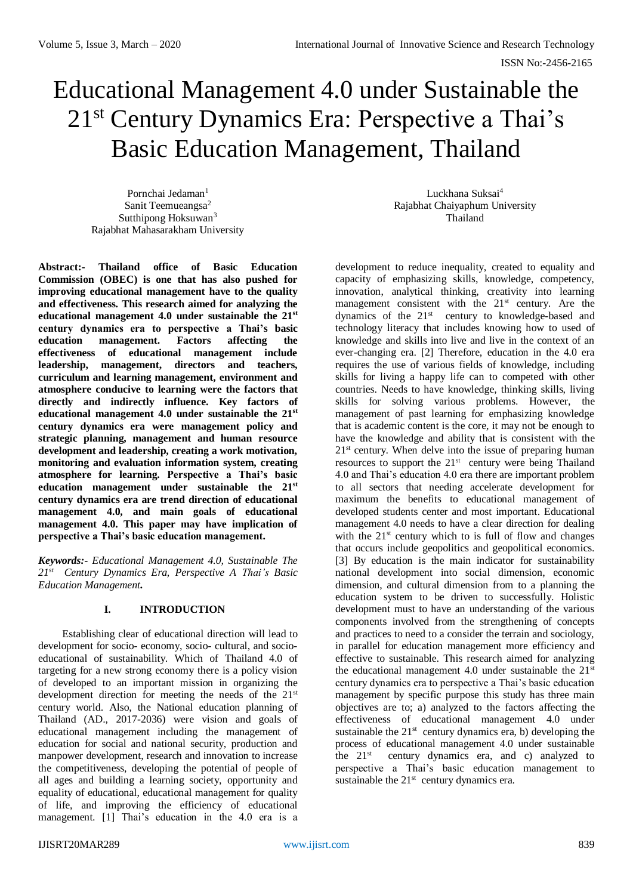# Educational Management 4.0 under Sustainable the 21st Century Dynamics Era: Perspective a Thai's Basic Education Management, Thailand

Pornchai Jedaman<sup>1</sup> Sanit Teemueangsa<sup>2</sup> Sutthipong Hoksuwan<sup>3</sup> Rajabhat Mahasarakham University

**Abstract:- Thailand office of Basic Education Commission (OBEC) is one that has also pushed for improving educational management have to the quality and effectiveness. This research aimed for analyzing the educational management 4.0 under sustainable the 21st century dynamics era to perspective a Thai's basic education management. Factors affecting the effectiveness of educational management include leadership, management, directors and teachers, curriculum and learning management, environment and atmosphere conducive to learning were the factors that directly and indirectly influence. Key factors of educational management 4.0 under sustainable the 21st century dynamics era were management policy and strategic planning, management and human resource development and leadership, creating a work motivation, monitoring and evaluation information system, creating atmosphere for learning. Perspective a Thai's basic education management under sustainable the 21st century dynamics era are trend direction of educational management 4.0, and main goals of educational management 4.0. This paper may have implication of perspective a Thai's basic education management.**

*Keywords:- Educational Management 4.0, Sustainable The 21st Century Dynamics Era, Perspective A Thai's Basic Education Management.*

# **I. INTRODUCTION**

Establishing clear of educational direction will lead to development for socio- economy, socio- cultural, and socioeducational of sustainability. Which of Thailand 4.0 of targeting for a new strong economy there is a policy vision of developed to an important mission in organizing the development direction for meeting the needs of the  $21<sup>st</sup>$ century world. Also, the National education planning of Thailand (AD., 2017-2036) were vision and goals of educational management including the management of education for social and national security, production and manpower development, research and innovation to increase the competitiveness, developing the potential of people of all ages and building a learning society, opportunity and equality of educational, educational management for quality of life, and improving the efficiency of educational management. [1] Thai's education in the 4.0 era is a

Luckhana Suksai<sup>4</sup> Rajabhat Chaiyaphum University Thailand

development to reduce inequality, created to equality and capacity of emphasizing skills, knowledge, competency, innovation, analytical thinking, creativity into learning management consistent with the 21<sup>st</sup> century. Are the dynamics of the 21<sup>st</sup> century to knowledge-based and technology literacy that includes knowing how to used of knowledge and skills into live and live in the context of an ever-changing era. [2] Therefore, education in the 4.0 era requires the use of various fields of knowledge, including skills for living a happy life can to competed with other countries. Needs to have knowledge, thinking skills, living skills for solving various problems. However, the management of past learning for emphasizing knowledge that is academic content is the core, it may not be enough to have the knowledge and ability that is consistent with the  $21<sup>st</sup>$  century. When delve into the issue of preparing human resources to support the  $21<sup>st</sup>$  century were being Thailand 4.0 and Thai's education 4.0 era there are important problem to all sectors that needing accelerate development for maximum the benefits to educational management of developed students center and most important. Educational management 4.0 needs to have a clear direction for dealing with the  $21<sup>st</sup>$  century which to is full of flow and changes that occurs include geopolitics and geopolitical economics. [3] By education is the main indicator for sustainability national development into social dimension, economic dimension, and cultural dimension from to a planning the education system to be driven to successfully. Holistic development must to have an understanding of the various components involved from the strengthening of concepts and practices to need to a consider the terrain and sociology, in parallel for education management more efficiency and effective to sustainable. This research aimed for analyzing the educational management 4.0 under sustainable the  $21<sup>st</sup>$ century dynamics era to perspective a Thai's basic education management by specific purpose this study has three main objectives are to; a) analyzed to the factors affecting the effectiveness of educational management 4.0 under sustainable the  $21<sup>st</sup>$  century dynamics era, b) developing the process of educational management 4.0 under sustainable the 21<sup>st</sup> century dynamics era, and c) analyzed to perspective a Thai's basic education management to sustainable the  $21<sup>st</sup>$  century dynamics era.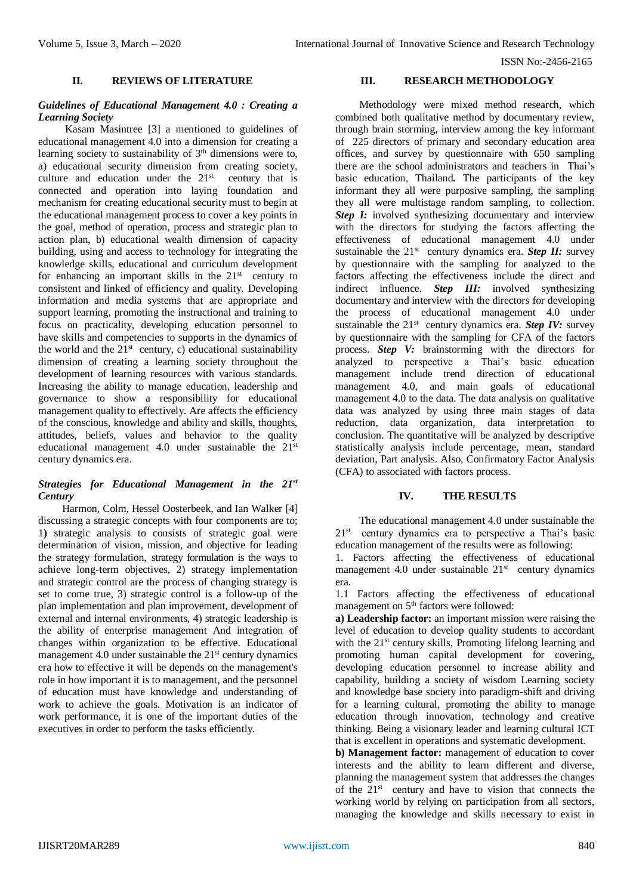ISSN No:-2456-2165

## **II. REVIEWS OF LITERATURE**

## *Guidelines of Educational Management 4.0 : Creating a Learning Society*

Kasam Masintree [3] a mentioned to guidelines of educational management 4.0 into a dimension for creating a learning society to sustainability of 3<sup>th</sup> dimensions were to, a) educational security dimension from creating society, culture and education under the  $21<sup>st</sup>$  century that is connected and operation into laying foundation and mechanism for creating educational security must to begin at the educational management process to cover a key points in the goal, method of operation, process and strategic plan to action plan, b) educational wealth dimension of capacity building, using and access to technology for integrating the knowledge skills, educational and curriculum development for enhancing an important skills in the  $21<sup>st</sup>$  century to consistent and linked of efficiency and quality. Developing information and media systems that are appropriate and support learning, promoting the instructional and training to focus on practicality, developing education personnel to have skills and competencies to supports in the dynamics of the world and the  $21<sup>st</sup>$  century, c) educational sustainability dimension of creating a learning society throughout the development of learning resources with various standards. Increasing the ability to manage education, leadership and governance to show a responsibility for educational management quality to effectively. Are affects the efficiency of the conscious, knowledge and ability and skills, thoughts, attitudes, beliefs, values and behavior to the quality educational management 4.0 under sustainable the  $21<sup>st</sup>$ century dynamics era.

# *Strategies for Educational Management in the 21st Century*

Harmon, Colm, Hessel Oosterbeek, and Ian Walker [4] discussing a strategic concepts with four components are to; 1**)** strategic analysis to consists of strategic goal were determination of vision, mission, and objective for leading the strategy formulation, strategy formulation is the ways to achieve long-term objectives, 2) strategy implementation and strategic control are the process of changing strategy is set to come true, 3) strategic control is a follow-up of the plan implementation and plan improvement, development of external and internal environments, 4) strategic leadership is the ability of enterprise management And integration of changes within organization to be effective. Educational management 4.0 under sustainable the  $21<sup>st</sup>$  century dynamics era how to effective it will be depends on the management's role in how important it is to management, and the personnel of education must have knowledge and understanding of work to achieve the goals. Motivation is an indicator of work performance, it is one of the important duties of the executives in order to perform the tasks efficiently.

# **III. RESEARCH METHODOLOGY**

Methodology were mixed method research, which combined both qualitative method by documentary review, through brain storming, interview among the key informant of 225 directors of primary and secondary education area offices, and survey by questionnaire with 650 sampling there are the school administrators and teachers in Thai's basic education, Thailand*.* The participants of the key informant they all were purposive sampling, the sampling they all were multistage random sampling, to collection. *Step I:* involved synthesizing documentary and interview with the directors for studying the factors affecting the effectiveness of educational management 4.0 under sustainable the 21<sup>st</sup> century dynamics era. **Step II:** survey by questionnaire with the sampling for analyzed to the factors affecting the effectiveness include the direct and indirect influence. *Step III:* involved synthesizing documentary and interview with the directors for developing the process of educational management 4.0 under sustainable the 21<sup>st</sup> century dynamics era. *Step IV:* survey by questionnaire with the sampling for CFA of the factors process. *Step V:* brainstorming with the directors for analyzed to perspective a Thai's basic education management include trend direction of educational management 4.0, and main goals of educational management 4.0 to the data. The data analysis on qualitative data was analyzed by using three main stages of data reduction, data organization, data interpretation to conclusion. The quantitative will be analyzed by descriptive statistically analysis include percentage, mean, standard deviation, Part analysis. Also, Confirmatory Factor Analysis (CFA) to associated with factors process.

# **IV. THE RESULTS**

The educational management 4.0 under sustainable the  $21<sup>st</sup>$  century dynamics era to perspective a Thai's basic education management of the results were as following:

1. Factors affecting the effectiveness of educational management 4.0 under sustainable  $21<sup>st</sup>$  century dynamics era.

1.1 Factors affecting the effectiveness of educational management on 5<sup>th</sup> factors were followed:

**a) Leadership factor:** an important mission were raising the level of education to develop quality students to accordant with the 21<sup>st</sup> century skills, Promoting lifelong learning and promoting human capital development for covering, developing education personnel to increase ability and capability, building a society of wisdom Learning society and knowledge base society into paradigm-shift and driving for a learning cultural, promoting the ability to manage education through innovation, technology and creative thinking. Being a visionary leader and learning cultural ICT that is excellent in operations and systematic development.

**b) Management factor:** management of education to cover interests and the ability to learn different and diverse, planning the management system that addresses the changes of the 21<sup>st</sup> century and have to vision that connects the working world by relying on participation from all sectors, managing the knowledge and skills necessary to exist in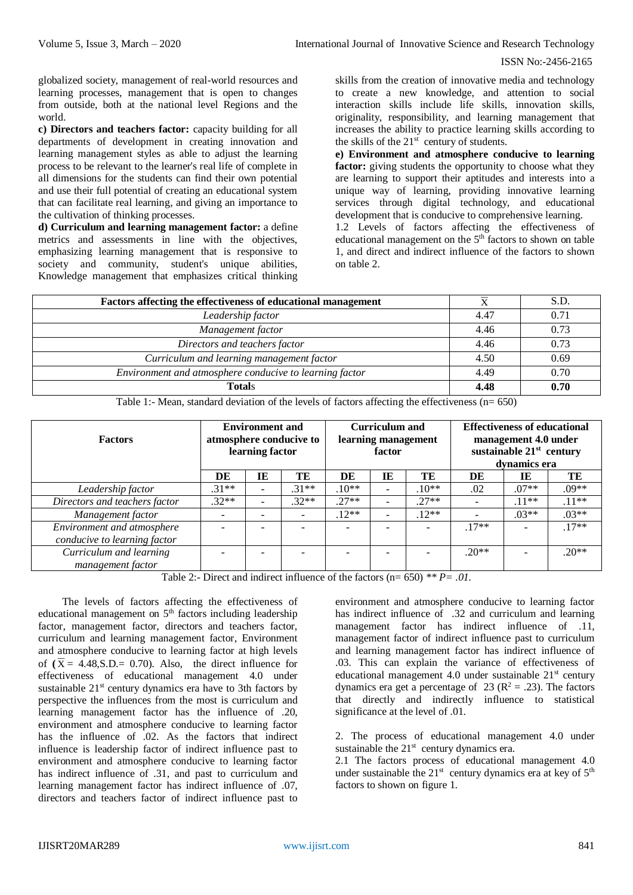#### ISSN No:-2456-2165

globalized society, management of real-world resources and learning processes, management that is open to changes from outside, both at the national level Regions and the world.

**c) Directors and teachers factor:** capacity building for all departments of development in creating innovation and learning management styles as able to adjust the learning process to be relevant to the learner's real life of complete in all dimensions for the students can find their own potential and use their full potential of creating an educational system that can facilitate real learning, and giving an importance to the cultivation of thinking processes.

**d) Curriculum and learning management factor:** a define metrics and assessments in line with the objectives, emphasizing learning management that is responsive to society and community, student's unique abilities, Knowledge management that emphasizes critical thinking

skills from the creation of innovative media and technology to create a new knowledge, and attention to social interaction skills include life skills, innovation skills, originality, responsibility, and learning management that increases the ability to practice learning skills according to the skills of the  $21<sup>st</sup>$  century of students.

**e) Environment and atmosphere conducive to learning** factor: giving students the opportunity to choose what they are learning to support their aptitudes and interests into a unique way of learning, providing innovative learning services through digital technology, and educational development that is conducive to comprehensive learning. 1.2 Levels of factors affecting the effectiveness of

educational management on the 5<sup>th</sup> factors to shown on table 1, and direct and indirect influence of the factors to shown on table 2.

| Factors affecting the effectiveness of educational management |      | S.D. |
|---------------------------------------------------------------|------|------|
| Leadership factor                                             | 4.47 | 0.71 |
| Management factor                                             | 4.46 | 0.73 |
| Directors and teachers factor                                 | 4.46 | 0.73 |
| Curriculum and learning management factor                     | 4.50 | 0.69 |
| Environment and atmosphere conducive to learning factor       | 4.49 | 0.70 |
| <b>Totals</b>                                                 | 4.48 | 0.70 |

Table 1:- Mean, standard deviation of the levels of factors affecting the effectiveness (n= 650)

| <b>Factors</b>                | <b>Environment and</b><br>atmosphere conducive to<br>learning factor |          |         | <b>Curriculum</b> and<br>learning management<br>factor |                          |         | <b>Effectiveness of educational</b><br>management 4.0 under<br>sustainable $21st$ century<br>dynamics era |         |         |
|-------------------------------|----------------------------------------------------------------------|----------|---------|--------------------------------------------------------|--------------------------|---------|-----------------------------------------------------------------------------------------------------------|---------|---------|
|                               | DE                                                                   | IE       | TE      | DE                                                     | IE                       | TE      | DE                                                                                                        | IE      | TE      |
| Leadership factor             | $.31**$                                                              | ۰        | $31**$  | $10**$                                                 | $\overline{\phantom{a}}$ | $.10**$ | .02                                                                                                       | $.07**$ | $.09**$ |
| Directors and teachers factor | $.32**$                                                              | $\equiv$ | $.32**$ | $27**$                                                 | $\overline{\phantom{m}}$ | $27**$  |                                                                                                           | $.11**$ | $.11**$ |
| Management factor             |                                                                      |          |         | $.12**$                                                | $\overline{\phantom{m}}$ | $.12**$ |                                                                                                           | $.03**$ | $.03**$ |
| Environment and atmosphere    |                                                                      |          |         |                                                        | $\overline{\phantom{0}}$ |         | $.17**$                                                                                                   |         | $17**$  |
| conducive to learning factor  |                                                                      |          |         |                                                        |                          |         |                                                                                                           |         |         |
| Curriculum and learning       |                                                                      |          |         |                                                        | $\overline{\phantom{0}}$ |         | $.20**$                                                                                                   |         | $20**$  |
| management factor             |                                                                      |          |         |                                                        |                          |         |                                                                                                           |         |         |

Table 2:- Direct and indirect influence of the factors (n= 650) *\*\* P= .01.*

The levels of factors affecting the effectiveness of educational management on  $5<sup>th</sup>$  factors including leadership factor, management factor, directors and teachers factor, curriculum and learning management factor, Environment and atmosphere conducive to learning factor at high levels of  $(\overline{X}) = 4.48$ , S.D. = 0.70). Also, the direct influence for effectiveness of educational management 4.0 under sustainable  $21<sup>st</sup>$  century dynamics era have to 3th factors by perspective the influences from the most is curriculum and learning management factor has the influence of .20, environment and atmosphere conducive to learning factor has the influence of .02. As the factors that indirect influence is leadership factor of indirect influence past to environment and atmosphere conducive to learning factor has indirect influence of .31, and past to curriculum and learning management factor has indirect influence of .07, directors and teachers factor of indirect influence past to

environment and atmosphere conducive to learning factor has indirect influence of .32 and curriculum and learning management factor has indirect influence of .11, management factor of indirect influence past to curriculum and learning management factor has indirect influence of .03. This can explain the variance of effectiveness of educational management 4.0 under sustainable  $21<sup>st</sup>$  century dynamics era get a percentage of 23 ( $\mathbb{R}^2$  = .23). The factors that directly and indirectly influence to statistical significance at the level of .01.

2. The process of educational management 4.0 under sustainable the  $21<sup>st</sup>$  century dynamics era.

2.1 The factors process of educational management 4.0 under sustainable the  $21^{st}$  century dynamics era at key of  $5^{th}$ factors to shown on figure 1.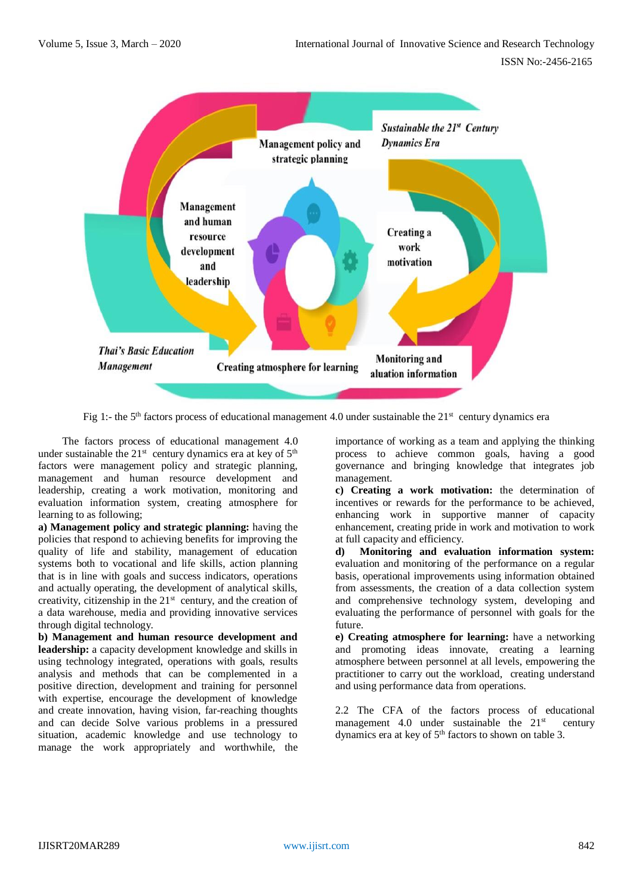

Fig 1:- the 5<sup>th</sup> factors process of educational management 4.0 under sustainable the  $21<sup>st</sup>$  century dynamics era

The factors process of educational management 4.0 under sustainable the  $21^{st}$  century dynamics era at key of  $5^{th}$ factors were management policy and strategic planning, management and human resource development and leadership, creating a work motivation, monitoring and evaluation information system, creating atmosphere for learning to as following;

**a) Management policy and strategic planning:** having the policies that respond to achieving benefits for improving the quality of life and stability, management of education systems both to vocational and life skills, action planning that is in line with goals and success indicators, operations and actually operating, the development of analytical skills, creativity, citizenship in the  $21<sup>st</sup>$  century, and the creation of a data warehouse, media and providing innovative services through digital technology.

**b) Management and human resource development and leadership:** a capacity development knowledge and skills in using technology integrated, operations with goals, results analysis and methods that can be complemented in a positive direction, development and training for personnel with expertise, encourage the development of knowledge and create innovation, having vision, far-reaching thoughts and can decide Solve various problems in a pressured situation, academic knowledge and use technology to manage the work appropriately and worthwhile, the

importance of working as a team and applying the thinking process to achieve common goals, having a good governance and bringing knowledge that integrates job management.

**c) Creating a work motivation:** the determination of incentives or rewards for the performance to be achieved, enhancing work in supportive manner of capacity enhancement, creating pride in work and motivation to work at full capacity and efficiency.

**d) Monitoring and evaluation information system:** evaluation and monitoring of the performance on a regular basis, operational improvements using information obtained from assessments, the creation of a data collection system and comprehensive technology system, developing and evaluating the performance of personnel with goals for the future.

**e) Creating atmosphere for learning:** have a networking and promoting ideas innovate, creating a learning atmosphere between personnel at all levels, empowering the practitioner to carry out the workload, creating understand and using performance data from operations.

2.2 The CFA of the factors process of educational management 4.0 under sustainable the  $21<sup>st</sup>$  century dynamics era at key of 5<sup>th</sup> factors to shown on table 3.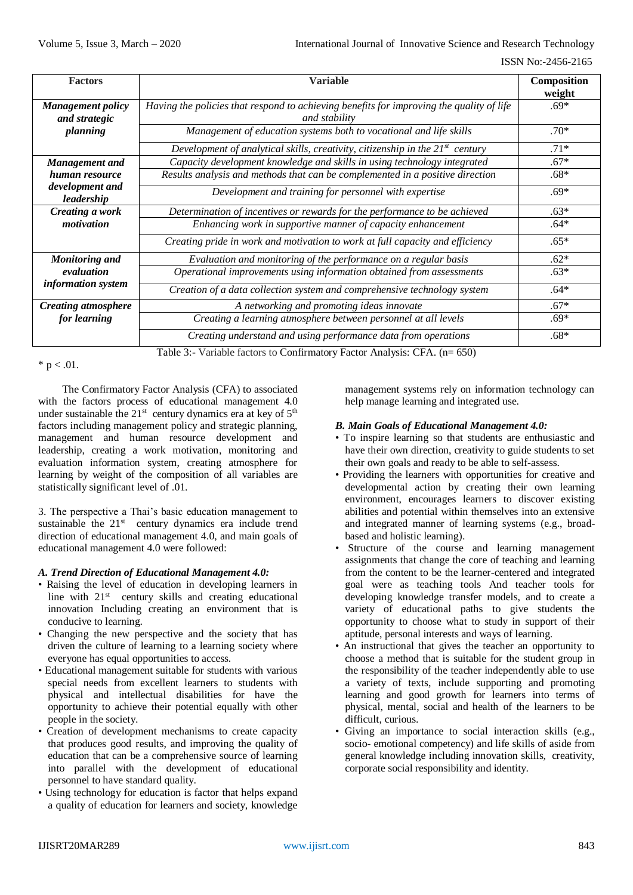#### ISSN No:-2456-2165

| <b>Factors</b>                            | <b>Variable</b>                                                                                                                                                           | Composition      |
|-------------------------------------------|---------------------------------------------------------------------------------------------------------------------------------------------------------------------------|------------------|
| <b>Management policy</b><br>and strategic | Having the policies that respond to achieving benefits for improving the quality of life<br>and stability                                                                 | weight<br>$.69*$ |
| planning                                  | Management of education systems both to vocational and life skills                                                                                                        | $.70*$           |
|                                           | Development of analytical skills, creativity, citizenship in the $21^{st}$ century                                                                                        | $.71*$           |
| <b>Management</b> and                     | Capacity development knowledge and skills in using technology integrated                                                                                                  | $.67*$           |
| human resource                            | Results analysis and methods that can be complemented in a positive direction                                                                                             | $.68*$           |
| development and<br>leadership             | Development and training for personnel with expertise                                                                                                                     | $.69*$           |
| Creating a work                           | Determination of incentives or rewards for the performance to be achieved                                                                                                 | $.63*$           |
| motivation                                | Enhancing work in supportive manner of capacity enhancement                                                                                                               | $.64*$           |
|                                           | Creating pride in work and motivation to work at full capacity and efficiency                                                                                             | $.65*$           |
| <b>Monitoring and</b>                     | Evaluation and monitoring of the performance on a regular basis                                                                                                           | $.62*$           |
| evaluation                                | Operational improvements using information obtained from assessments                                                                                                      | $.63*$           |
| <i>information system</i>                 | Creation of a data collection system and comprehensive technology system                                                                                                  | $.64*$           |
| <b>Creating atmosphere</b>                | A networking and promoting ideas innovate                                                                                                                                 | $.67*$           |
| for learning                              | Creating a learning atmosphere between personnel at all levels                                                                                                            | $.69*$           |
|                                           | Creating understand and using performance data from operations<br>$T_{\text{old}}$ 2. Usuishla fortage to Configuration: Easter Anglesia, CEA, $\langle \sigma R \rangle$ | $.68*$           |

Table 3:- Variable factors to Confirmatory Factor Analysis: CFA. (n= 650)

\*  $p < .01$ .

The Confirmatory Factor Analysis (CFA) to associated with the factors process of educational management 4.0 under sustainable the  $21^{st}$  century dynamics era at key of  $5^{th}$ factors including management policy and strategic planning, management and human resource development and leadership, creating a work motivation, monitoring and evaluation information system, creating atmosphere for learning by weight of the composition of all variables are statistically significant level of .01.

3. The perspective a Thai's basic education management to sustainable the  $21<sup>st</sup>$  century dynamics era include trend direction of educational management 4.0, and main goals of educational management 4.0 were followed:

# *A. Trend Direction of Educational Management 4.0:*

- Raising the level of education in developing learners in line with 21<sup>st</sup> century skills and creating educational innovation Including creating an environment that is conducive to learning.
- Changing the new perspective and the society that has driven the culture of learning to a learning society where everyone has equal opportunities to access.
- Educational management suitable for students with various special needs from excellent learners to students with physical and intellectual disabilities for have the opportunity to achieve their potential equally with other people in the society.
- Creation of development mechanisms to create capacity that produces good results, and improving the quality of education that can be a comprehensive source of learning into parallel with the development of educational personnel to have standard quality.
- Using technology for education is factor that helps expand a quality of education for learners and society, knowledge

management systems rely on information technology can help manage learning and integrated use.

# *B. Main Goals of Educational Management 4.0:*

- To inspire learning so that students are enthusiastic and have their own direction, creativity to guide students to set their own goals and ready to be able to self-assess.
- Providing the learners with opportunities for creative and developmental action by creating their own learning environment, encourages learners to discover existing abilities and potential within themselves into an extensive and integrated manner of learning systems (e.g., broadbased and holistic learning).
- Structure of the course and learning management assignments that change the core of teaching and learning from the content to be the learner-centered and integrated goal were as teaching tools And teacher tools for developing knowledge transfer models, and to create a variety of educational paths to give students the opportunity to choose what to study in support of their aptitude, personal interests and ways of learning.
- An instructional that gives the teacher an opportunity to choose a method that is suitable for the student group in the responsibility of the teacher independently able to use a variety of texts, include supporting and promoting learning and good growth for learners into terms of physical, mental, social and health of the learners to be difficult, curious.
- Giving an importance to social interaction skills (e.g., socio- emotional competency) and life skills of aside from general knowledge including innovation skills, creativity, corporate social responsibility and identity.